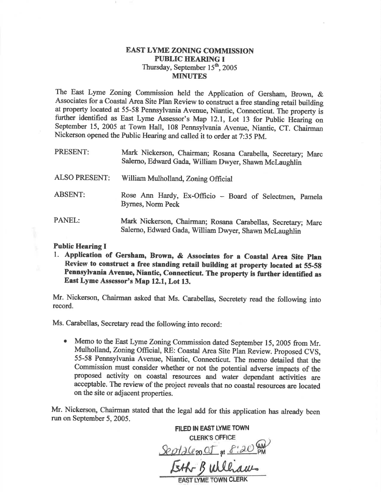## EAST LYME ZONING COMMISSION PUBLIC HEARING I Thursday, September 15<sup>th</sup>, 2005 MINUTES

The East Lyme Zoning Commission held the Application of Gersham, Brown, & Associates for a Coastal Area Site Plan Review to construct a free standing retail building at property located at 55-58 Pennsylvania Avenue, Niantic, Connecticut. The property is further identified as East Lyme Assessor's Map 12.1, Lot 13 for Public Hearing on September 15, 2005 at Town Hall, 108 Pennsylvania Avenue, Niantic, CT. Chairman Nickerson opened the Public Hearing and called it to order at 7:35 pM.

| PRESENT:             | Mark Nickerson, Chairman; Rosana Carabella, Secretary; Marc<br>Salerno, Edward Gada, William Dwyer, Shawn McLaughlin  |
|----------------------|-----------------------------------------------------------------------------------------------------------------------|
| <b>ALSO PRESENT:</b> | William Mulholland, Zoning Official                                                                                   |
| <b>ABSENT:</b>       | Rose Ann Hardy, Ex-Officio - Board of Selectmen, Pamela<br>Byrnes, Norm Peck                                          |
| PANEL:               | Mark Nickerson, Chairman; Rosana Carabellas, Secretary; Marc<br>Salerno, Edward Gada, William Dwyer, Shawn McLaughlin |

## Public Hearing I

1. Application of Gersham, Brown, & Associates for a Coastal Area Site plan Review to construct a free standing retail buitding at property located at 55-58 Pennsylvania Avenue, Niantic, Connecticut. The property is further identified as East Lyme Assessor's Map 12.1, Lot 13.

Mr. Nickerson, Chairman asked that Ms. Carabellas, Secretety read the following into record.

Ms. Carabellas, Secretary read the following into record:

• Memo to the East Lyme Zoning Commission dated September 15, 2005 from Mr. Mulholland, Zoning Official, RE: Coastal Area Site Plan Review. Proposed CVS, 55-58 Pennsylvania Avenue, Niantic, Connecticut. The memo detaiied that the Commission must consider whether or not the potential adverse impacts of the proposed activity on coastal resources and water dependant activities are acceptable. The review of the project reveals that no coastal resources are located on the site or adjacent properties.

Mr. Nickerson, Chairman stated that the legal add for this application has already been run on September 5, 2005.

FILED IN EAST LYME TOWN CLERK'S OFFICE  $SedA (e_{20}$  OF at  $f'.20^{6}$ pM Feth Bulliam **AST LYME TOWN C**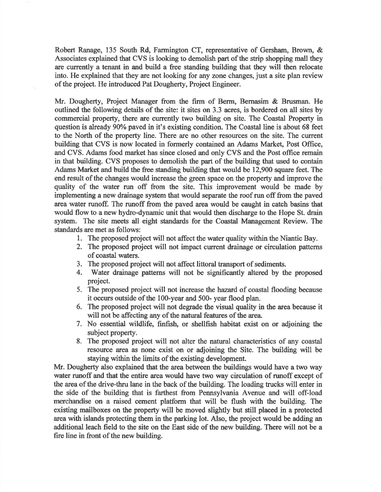Robert Ranage, 135 South Rd, Farmington CT, representative of Gersham, Brown, & Associates explained that CVS is looking to demolish part of the strip shopping mall they are currently a tenant in and build a free standing building that they will then relocate into. He explained that they are not looking for any zone changes, just a site plan review of the project. He intoduced Pat Dougherty, Project Engineer.

Mr. Dougherty, Project Manager from the firm of Berm, Bernasim & Brusman. He ouflined the following details of the site: it sites on 3.3 acres, is bordered on all sites by commercial property, there are currently two building on site. The Coastal Property in question is already 90% paved in it's existing condition. The Coastal line is about 68 feet to the North of the property line. There are no other resources on the site. The current building that CVS is now located in formerly contained an Adams Market, Post Office, and CVS. Adams food market has since closed and only CVS and the Post office remain in that building. CVS proposes to demolish the part of the building that used to contain Adams Market and build the free standing building that would be 12,900 square feet. The end result of the changes would increase the green space on the property and improve the quallty of the water run off from the site. This improvement would be made by implementing a new drainage system that would separate the roof run off from the paved area water runoff. The runoff from the paved area would be caught in catch basins that would flow to a new hydro-dynamic unit that would then discharge to the Hope St. drain system. The site meets all eight standards for the Coastal Management Review. The standards are met as follows:

- l. The proposed project will not affect the water quahty within the Niantic Bay.
- 2. The proposed project will not impact curent drainage or circulation pattems of coastal waters.
- 3. The proposed project will not affect littoral transport of sediments.
- 4. Water drainage patterns will not be significantly altered by the proposed project.
- 5. The proposed project will not increase the hazard of coastal flooding because it occurs outside of the 100-year and 500- year flood plan.
- 6. The proposed project will not degrade the visual quality in the area because it will not be affecting any of the natural features of the area.
- 7. No essential wildlife, finfish, or shellfish habitat exist on or adjoining the subject property.
- 8. The proposed project will not alter the natural characteristics of any coastal resource area as none exist on or adjoining the Site. The building will be staying within the limits of the existing development.

Mr. Dougherty also explained that the area between the buildings would have a two way water runoff and that the entire area would have two way circulation of runoff except of the area of the drive-thru lane in the back of the building. The loading tucks will enter in the side of the building that is farthest from Pennsylvania Avenue and will off-load merchandise on a raised cement platform that will be flush with the building. The existing mailboxes on the property will be moved slightly but still placed in a protected area with islands protecting them in the parking lot. Also, the project would be adding an additional leach field to the site on the East side of the new building. There will not be a fire line in front of the new building.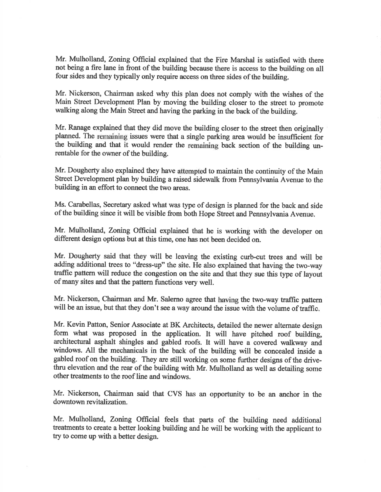Mr. Mulholland, Zoning Official explained that the Fire Marshal is satisfied with there not being a fire lane in front of the building because there is access to the building on all four sides and they typically only require access on three sides of the building.

Mr. Nickerson, Chairman asked why this plan does not comply with the wishes of the Main Street Development Plan by moving the building closer to the street to promote walking along the Main Street and having the parking in the back of the building.

Mr. Ranage explained that they did move the building closer to the street then originally planned. The remaining issues were that a single parking area would be insufficient for the building and that it would render the remaining back section of the building unrentable for the owner of the building.

Mr. Dougherty also explained they have attempted to maintain the continuity of the Main Street Development plan by building a raised sidewalk from Pennsylvania Avenue to the building in an effort to connect the two areas.

Ms. Carabellas, Secretary asked what was type of design is planned for the back and side of the building since it will be visibte from both Hope Street and Pennsylvania Avenue.

Mr. Mulholland, Zoning Official explained that he is working with the developer on different design options but at this time, one has not been decided on.

Mr. Dougherty said that they will be leaving the existing curb-cut tees and will be adding additional trees to "dress-up" the site. He also explained that having the two-way taffic pattem will reduce the congestion on the site and that they sue this type of layout of many sites and that the pattern functions very well.

Mr. Nickerson, Chairman and Mr. Salerno agree that having the two-way traffic pattern will be an issue, but that they don't see a way around the issue with the volume of traffic.

Mr. Kevin Patton, Senior Associate at BK Architects, detailed the newer alternate design form what was proposed in the application. It will have pitched roof building, architectural asphalt shingles and gabled roofs. It will have a covered walkway and windows. All the mechanicals in the back of the building will be concealed inside <sup>a</sup> gabled roof on the building. They are still working on some firther designs of the drivethru elevation and the rear of the building with Mr. Mulholland as well as detailing some other treatments to the roof line and windows.

Mr. Nickerson, Chairman said that CVS has an opportunity to be an anchor in the downtown revitalization.

Mr. Mulholland, Zoning Official feels that parts of the building need additional treatnents to create a better looking building and he will be working with the applicant to firy to come up with a better design.